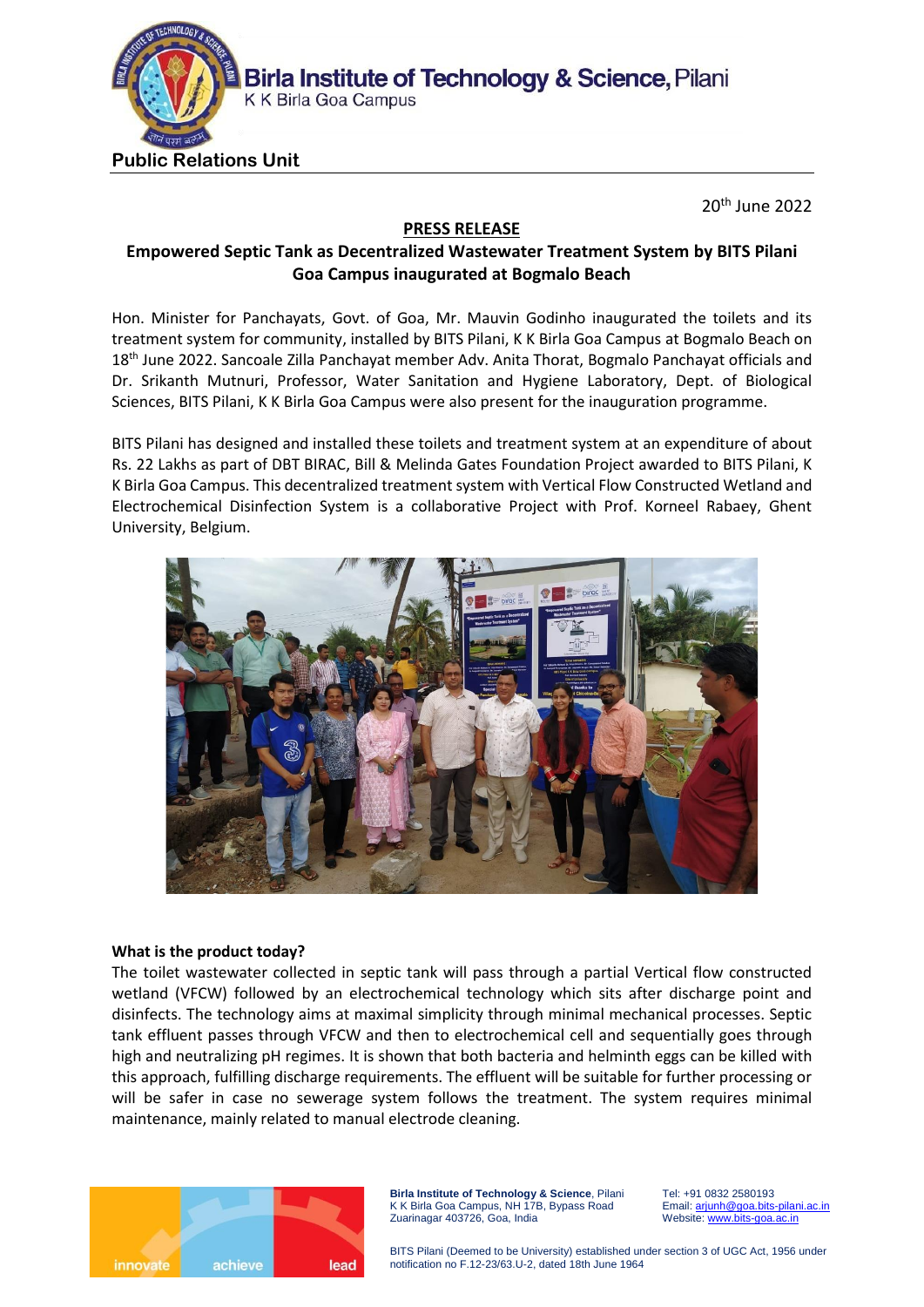

20th June 2022

## **PRESS RELEASE**

# **Empowered Septic Tank as Decentralized Wastewater Treatment System by BITS Pilani Goa Campus inaugurated at Bogmalo Beach**

Hon. Minister for Panchayats, Govt. of Goa, Mr. Mauvin Godinho inaugurated the toilets and its treatment system for community, installed by BITS Pilani, K K Birla Goa Campus at Bogmalo Beach on 18<sup>th</sup> June 2022. Sancoale Zilla Panchayat member Adv. Anita Thorat, Bogmalo Panchayat officials and Dr. Srikanth Mutnuri, Professor, Water Sanitation and Hygiene Laboratory, Dept. of Biological Sciences, BITS Pilani, K K Birla Goa Campus were also present for the inauguration programme.

BITS Pilani has designed and installed these toilets and treatment system at an expenditure of about Rs. 22 Lakhs as part of DBT BIRAC, Bill & Melinda Gates Foundation Project awarded to BITS Pilani, K K Birla Goa Campus. This decentralized treatment system with Vertical Flow Constructed Wetland and Electrochemical Disinfection System is a collaborative Project with Prof. Korneel Rabaey, Ghent University, Belgium.



#### **What is the product today?**

The toilet wastewater collected in septic tank will pass through a partial Vertical flow constructed wetland (VFCW) followed by an electrochemical technology which sits after discharge point and disinfects. The technology aims at maximal simplicity through minimal mechanical processes. Septic tank effluent passes through VFCW and then to electrochemical cell and sequentially goes through high and neutralizing pH regimes. It is shown that both bacteria and helminth eggs can be killed with this approach, fulfilling discharge requirements. The effluent will be suitable for further processing or will be safer in case no sewerage system follows the treatment. The system requires minimal maintenance, mainly related to manual electrode cleaning.



**Birla Institute of Technology & Science**, Pilani K K Birla Goa Campus, NH 17B, Bypass Road Zuarinagar 403726, Goa, India

Tel: +91 0832 2580193 Email[: arjunh@goa.bits-pilani.ac.in](mailto:arjunh@goa.bits-pilani.ac.in) Website[: www.bits-goa.ac.in](http://www.bits-goa.ac.in/)

BITS Pilani (Deemed to be University) established under section 3 of UGC Act, 1956 under notification no F.12-23/63.U-2, dated 18th June 1964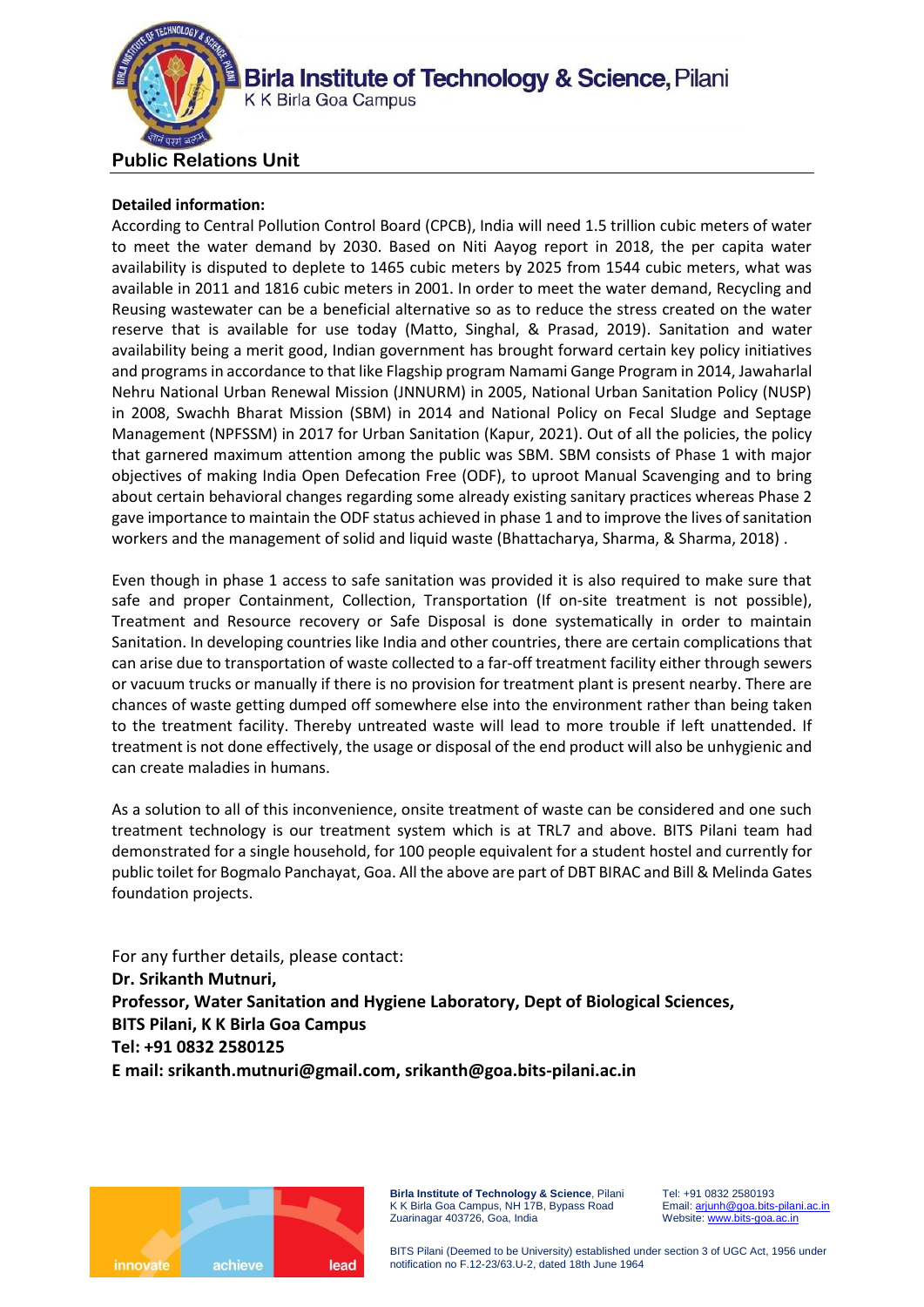

### **Detailed information:**

According to Central Pollution Control Board (CPCB), India will need 1.5 trillion cubic meters of water to meet the water demand by 2030. Based on Niti Aayog report in 2018, the per capita water availability is disputed to deplete to 1465 cubic meters by 2025 from 1544 cubic meters, what was available in 2011 and 1816 cubic meters in 2001. In order to meet the water demand, Recycling and Reusing wastewater can be a beneficial alternative so as to reduce the stress created on the water reserve that is available for use today (Matto, Singhal, & Prasad, 2019). Sanitation and water availability being a merit good, Indian government has brought forward certain key policy initiatives and programs in accordance to that like Flagship program Namami Gange Program in 2014, Jawaharlal Nehru National Urban Renewal Mission (JNNURM) in 2005, National Urban Sanitation Policy (NUSP) in 2008, Swachh Bharat Mission (SBM) in 2014 and National Policy on Fecal Sludge and Septage Management (NPFSSM) in 2017 for Urban Sanitation (Kapur, 2021). Out of all the policies, the policy that garnered maximum attention among the public was SBM. SBM consists of Phase 1 with major objectives of making India Open Defecation Free (ODF), to uproot Manual Scavenging and to bring about certain behavioral changes regarding some already existing sanitary practices whereas Phase 2 gave importance to maintain the ODF status achieved in phase 1 and to improve the lives of sanitation workers and the management of solid and liquid waste (Bhattacharya, Sharma, & Sharma, 2018) .

Even though in phase 1 access to safe sanitation was provided it is also required to make sure that safe and proper Containment, Collection, Transportation (If on-site treatment is not possible), Treatment and Resource recovery or Safe Disposal is done systematically in order to maintain Sanitation. In developing countries like India and other countries, there are certain complications that can arise due to transportation of waste collected to a far-off treatment facility either through sewers or vacuum trucks or manually if there is no provision for treatment plant is present nearby. There are chances of waste getting dumped off somewhere else into the environment rather than being taken to the treatment facility. Thereby untreated waste will lead to more trouble if left unattended. If treatment is not done effectively, the usage or disposal of the end product will also be unhygienic and can create maladies in humans.

As a solution to all of this inconvenience, onsite treatment of waste can be considered and one such treatment technology is our treatment system which is at TRL7 and above. BITS Pilani team had demonstrated for a single household, for 100 people equivalent for a student hostel and currently for public toilet for Bogmalo Panchayat, Goa. All the above are part of DBT BIRAC and Bill & Melinda Gates foundation projects.

For any further details, please contact: **Dr. Srikanth Mutnuri, Professor, Water Sanitation and Hygiene Laboratory, Dept of Biological Sciences, BITS Pilani, K K Birla Goa Campus Tel: +91 0832 2580125 E mail: [srikanth.mutnuri@gmail.com,](mailto:srikanth.mutnuri@gmail.com) srikanth@goa.bits-pilani.ac.in**



**Birla Institute of Technology & Science**, Pilani K K Birla Goa Campus, NH 17B, Bypass Road Zuarinagar 403726, Goa, India

Tel: +91 0832 2580193 Email[: arjunh@goa.bits-pilani.ac.in](mailto:arjunh@goa.bits-pilani.ac.in) Website[: www.bits-goa.ac.in](http://www.bits-goa.ac.in/)

BITS Pilani (Deemed to be University) established under section 3 of UGC Act, 1956 under notification no F.12-23/63.U-2, dated 18th June 1964